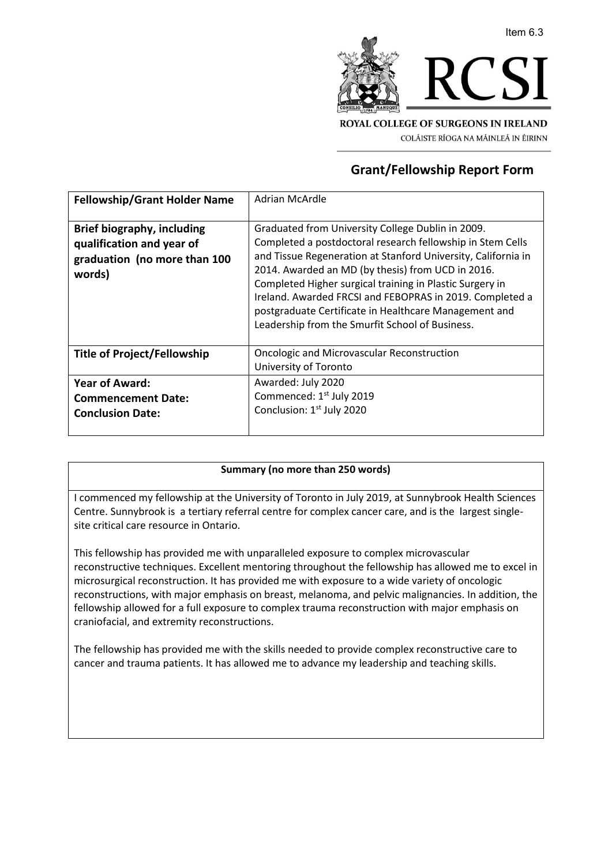

COLÁISTE RÍOGA NA MÁINLEÁ IN ÉIRINN

## **Grant/Fellowship Report Form**

| <b>Fellowship/Grant Holder Name</b>                                                                      | Adrian McArdle                                                                                                                                                                                                                                                                                                                                                                                                                                                            |
|----------------------------------------------------------------------------------------------------------|---------------------------------------------------------------------------------------------------------------------------------------------------------------------------------------------------------------------------------------------------------------------------------------------------------------------------------------------------------------------------------------------------------------------------------------------------------------------------|
| <b>Brief biography, including</b><br>qualification and year of<br>graduation (no more than 100<br>words) | Graduated from University College Dublin in 2009.<br>Completed a postdoctoral research fellowship in Stem Cells<br>and Tissue Regeneration at Stanford University, California in<br>2014. Awarded an MD (by thesis) from UCD in 2016.<br>Completed Higher surgical training in Plastic Surgery in<br>Ireland. Awarded FRCSI and FEBOPRAS in 2019. Completed a<br>postgraduate Certificate in Healthcare Management and<br>Leadership from the Smurfit School of Business. |
| <b>Title of Project/Fellowship</b>                                                                       | <b>Oncologic and Microvascular Reconstruction</b><br>University of Toronto                                                                                                                                                                                                                                                                                                                                                                                                |
| <b>Year of Award:</b><br><b>Commencement Date:</b><br><b>Conclusion Date:</b>                            | Awarded: July 2020<br>Commenced: 1 <sup>st</sup> July 2019<br>Conclusion: 1 <sup>st</sup> July 2020                                                                                                                                                                                                                                                                                                                                                                       |

## **Summary (no more than 250 words)**

I commenced my fellowship at the University of Toronto in July 2019, at Sunnybrook Health Sciences Centre. Sunnybrook is a tertiary referral centre for complex cancer care, and is the largest singlesite critical care resource in Ontario.

This fellowship has provided me with unparalleled exposure to complex microvascular reconstructive techniques. Excellent mentoring throughout the fellowship has allowed me to excel in microsurgical reconstruction. It has provided me with exposure to a wide variety of oncologic reconstructions, with major emphasis on breast, melanoma, and pelvic malignancies. In addition, the fellowship allowed for a full exposure to complex trauma reconstruction with major emphasis on craniofacial, and extremity reconstructions.

The fellowship has provided me with the skills needed to provide complex reconstructive care to cancer and trauma patients. It has allowed me to advance my leadership and teaching skills.